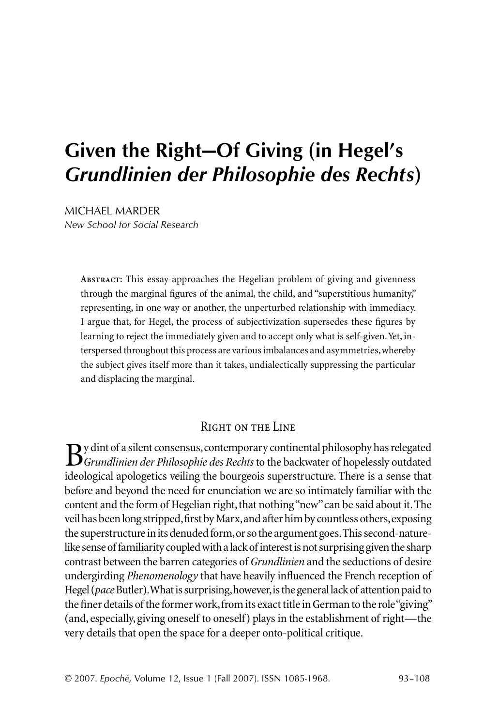# **Given the Right—Of Giving (in Hegel's**  *Grundlinien der Philosophie des Rechts***)**

MICHAEL MARDER *New School for Social Research*

> **Abstract:** This essay approaches the Hegelian problem of giving and givenness through the marginal figures of the animal, the child, and "superstitious humanity," representing, in one way or another, the unperturbed relationship with immediacy. I argue that, for Hegel, the process of subjectivization supersedes these figures by learning to reject the immediately given and to accept only what is self-given. Yet, interspersed throughout this process are various imbalances and asymmetries, whereby the subject gives itself more than it takes, undialectically suppressing the particular and displacing the marginal.

### Right on the Line

By dint of a silent consensus, contemporary continental philosophy has relegated<br>*Grundlinien der Philosophie des Rechts* to the backwater of hopelessly outdated<br>ideals gial analyzation voiling the bourgesis cuperstructure ideological apologetics veiling the bourgeois superstructure. There is a sense that before and beyond the need for enunciation we are so intimately familiar with the content and the form of Hegelian right, that nothing "new" can be said about it. The veil has been long stripped, first by Marx, and after him by countless others, exposing the superstructure in its denuded form, or so the argument goes. This second-naturelike sense of familiarity coupled with a lack of interest is not surprising given the sharp contrast between the barren categories of *Grundlinien* and the seductions of desire undergirding *Phenomenology* that have heavily influenced the French reception of Hegel (*pace* Butler). What is surprising, however, is the general lack of attention paid to the finer details of the former work, from its exact title in German to the role "giving" (and, especially, giving oneself to oneself) plays in the establishment of right—the very details that open the space for a deeper onto-political critique.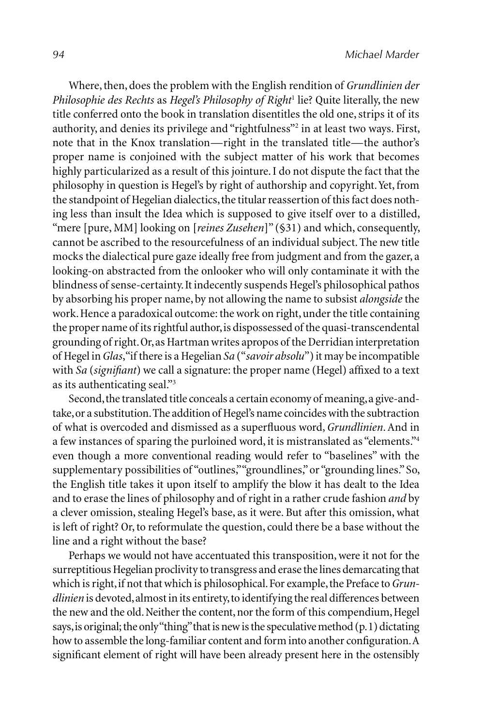Where, then, does the problem with the English rendition of *Grundlinien der*  Philosophie des Rechts as *Hegel's Philosophy of Right<sup>1</sup>* lie? Quite literally, the new title conferred onto the book in translation disentitles the old one, strips it of its authority, and denies its privilege and "rightfulness"<sup>2</sup> in at least two ways. First, note that in the Knox translation—right in the translated title—the author's proper name is conjoined with the subject matter of his work that becomes highly particularized as a result of this jointure. I do not dispute the fact that the philosophy in question is Hegel's by right of authorship and copyright. Yet, from the standpoint of Hegelian dialectics, the titular reassertion of this fact does nothing less than insult the Idea which is supposed to give itself over to a distilled, "mere [pure, MM] looking on [*reines Zusehen*]" (§31) and which, consequently, cannot be ascribed to the resourcefulness of an individual subject. The new title mocks the dialectical pure gaze ideally free from judgment and from the gazer, a looking-on abstracted from the onlooker who will only contaminate it with the blindness of sense-certainty. It indecently suspends Hegel's philosophical pathos by absorbing his proper name, by not allowing the name to subsist *alongside* the work. Hence a paradoxical outcome: the work on right, under the title containing the proper name of its rightful author, is dispossessed of the quasi-transcendental grounding of right. Or, as Hartman writes apropos of the Derridian interpretation of Hegel in *Glas*, "if there is a Hegelian *Sa* ("*savoir absolu*") it may be incompatible with *Sa* (*signifiant*) we call a signature: the proper name (Hegel) affixed to a text as its authenticating seal."3

Second, the translated title conceals a certain economy of meaning, a give-andtake, or a substitution. The addition of Hegel's name coincides with the subtraction of what is overcoded and dismissed as a superfl uous word, *Grundlinien*. And in a few instances of sparing the purloined word, it is mistranslated as "elements."4 even though a more conventional reading would refer to "baselines" with the supplementary possibilities of "outlines," "groundlines," or "grounding lines." So, the English title takes it upon itself to amplify the blow it has dealt to the Idea and to erase the lines of philosophy and of right in a rather crude fashion *and* by a clever omission, stealing Hegel's base, as it were. But after this omission, what is left of right? Or, to reformulate the question, could there be a base without the line and a right without the base?

Perhaps we would not have accentuated this transposition, were it not for the surreptitious Hegelian proclivity to transgress and erase the lines demarcating that which is right, if not that which is philosophical. For example, the Preface to *Grundlinien* is devoted, almost in its entirety, to identifying the real differences between the new and the old. Neither the content, nor the form of this compendium, Hegel says, is original; the only "thing" that is new is the speculative method (p. 1) dictating how to assemble the long-familiar content and form into another configuration. A significant element of right will have been already present here in the ostensibly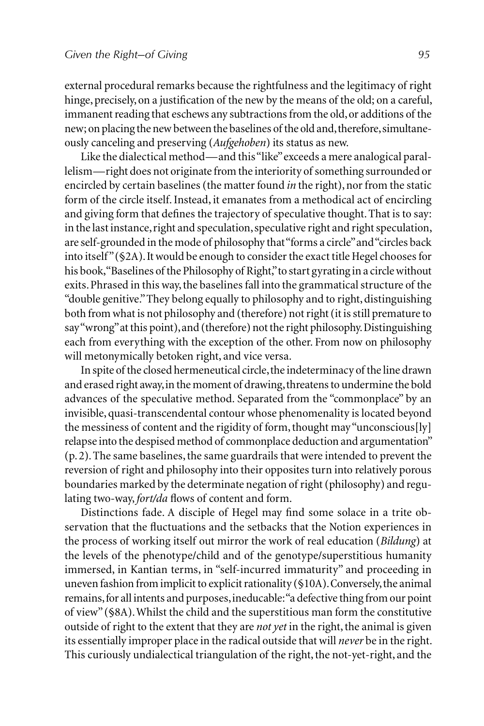external procedural remarks because the rightfulness and the legitimacy of right hinge, precisely, on a justification of the new by the means of the old; on a careful, immanent reading that eschews any subtractions from the old, or additions of the new; on placing the new between the baselines of the old and, therefore, simultaneously canceling and preserving (*Aufgehoben*) its status as new.

Like the dialectical method—and this "like" exceeds a mere analogical parallelism—right does not originate from the interiority of something surrounded or encircled by certain baselines (the matter found *in* the right), nor from the static form of the circle itself. Instead, it emanates from a methodical act of encircling and giving form that defines the trajectory of speculative thought. That is to say: in the last instance, right and speculation, speculative right and right speculation, are self-grounded in the mode of philosophy that "forms a circle" and "circles back into itself" (§2A). It would be enough to consider the exact title Hegel chooses for his book, "Baselines of the Philosophy of Right," to start gyrating in a circle without exits. Phrased in this way, the baselines fall into the grammatical structure of the "double genitive." They belong equally to philosophy and to right, distinguishing both from what is not philosophy and (therefore) not right (it is still premature to say "wrong" at this point), and (therefore) not the right philosophy. Distinguishing each from everything with the exception of the other. From now on philosophy will metonymically betoken right, and vice versa.

In spite of the closed hermeneutical circle, the indeterminacy of the line drawn and erased right away, in the moment of drawing, threatens to undermine the bold advances of the speculative method. Separated from the "commonplace" by an invisible, quasi-transcendental contour whose phenomenality is located beyond the messiness of content and the rigidity of form, thought may "unconscious[ly] relapse into the despised method of commonplace deduction and argumentation" (p. 2). The same baselines, the same guardrails that were intended to prevent the reversion of right and philosophy into their opposites turn into relatively porous boundaries marked by the determinate negation of right (philosophy) and regulating two-way, *fort/da* flows of content and form.

Distinctions fade. A disciple of Hegel may find some solace in a trite observation that the fluctuations and the setbacks that the Notion experiences in the process of working itself out mirror the work of real education (*Bildung*) at the levels of the phenotype/child and of the genotype/superstitious humanity immersed, in Kantian terms, in "self-incurred immaturity" and proceeding in uneven fashion from implicit to explicit rationality (§10A). Conversely, the animal remains, for all intents and purposes, ineducable: "a defective thing from our point of view" (§8A). Whilst the child and the superstitious man form the constitutive outside of right to the extent that they are *not yet* in the right, the animal is given its essentially improper place in the radical outside that will *never* be in the right. This curiously undialectical triangulation of the right, the not-yet-right, and the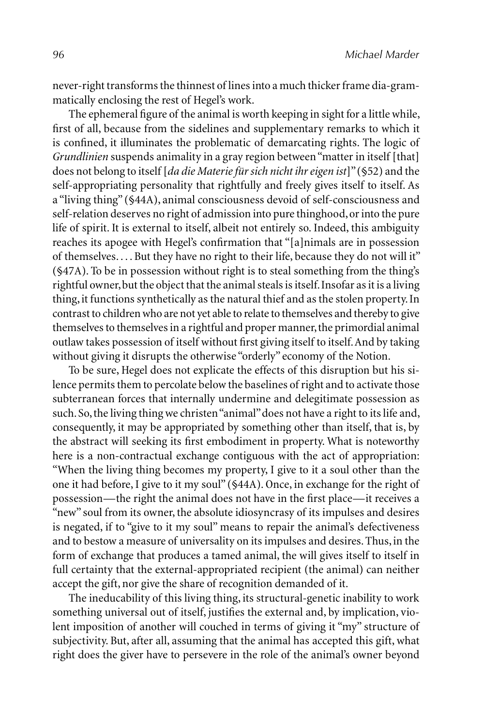never-right transforms the thinnest of lines into a much thicker frame dia-grammatically enclosing the rest of Hegel's work.

The ephemeral figure of the animal is worth keeping in sight for a little while, first of all, because from the sidelines and supplementary remarks to which it is confined, it illuminates the problematic of demarcating rights. The logic of *Grundlinien* suspends animality in a gray region between "matter in itself [that] does not belong to itself [*da die Materie für sich nicht ihr eigen ist*]" (§52) and the self-appropriating personality that rightfully and freely gives itself to itself. As a "living thing" (§44A), animal consciousness devoid of self-consciousness and self-relation deserves no right of admission into pure thinghood, or into the pure life of spirit. It is external to itself, albeit not entirely so. Indeed, this ambiguity reaches its apogee with Hegel's confirmation that "[a]nimals are in possession of themselves. . . . But they have no right to their life, because they do not will it" (§47A). To be in possession without right is to steal something from the thing's rightful owner, but the object that the animal steals is itself. Insofar as it is a living thing, it functions synthetically as the natural thief and as the stolen property. In contrast to children who are not yet able to relate to themselves and thereby to give themselves to themselves in a rightful and proper manner, the primordial animal outlaw takes possession of itself without first giving itself to itself. And by taking without giving it disrupts the otherwise "orderly" economy of the Notion.

To be sure, Hegel does not explicate the effects of this disruption but his silence permits them to percolate below the baselines of right and to activate those subterranean forces that internally undermine and delegitimate possession as such. So, the living thing we christen "animal" does not have a right to its life and, consequently, it may be appropriated by something other than itself, that is, by the abstract will seeking its first embodiment in property. What is noteworthy here is a non-contractual exchange contiguous with the act of appropriation: "When the living thing becomes my property, I give to it a soul other than the one it had before, I give to it my soul" (§44A). Once, in exchange for the right of possession—the right the animal does not have in the first place—it receives a "new" soul from its owner, the absolute idiosyncrasy of its impulses and desires is negated, if to "give to it my soul" means to repair the animal's defectiveness and to bestow a measure of universality on its impulses and desires. Thus, in the form of exchange that produces a tamed animal, the will gives itself to itself in full certainty that the external-appropriated recipient (the animal) can neither accept the gift, nor give the share of recognition demanded of it.

The ineducability of this living thing, its structural-genetic inability to work something universal out of itself, justifies the external and, by implication, violent imposition of another will couched in terms of giving it "my" structure of subjectivity. But, after all, assuming that the animal has accepted this gift, what right does the giver have to persevere in the role of the animal's owner beyond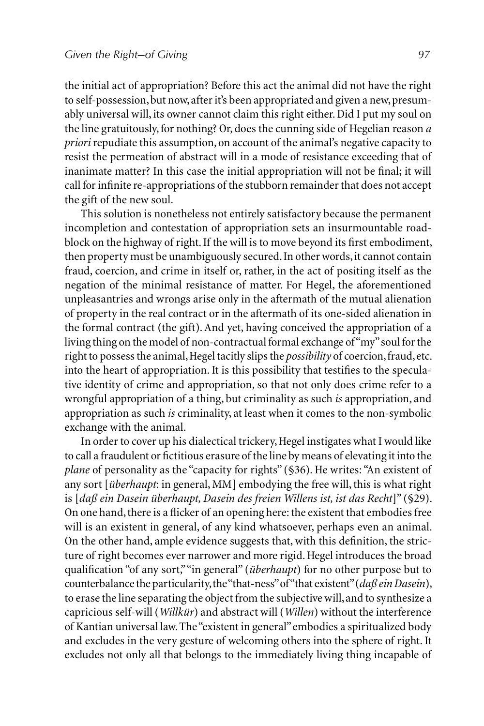the initial act of appropriation? Before this act the animal did not have the right to self-possession, but now, after it's been appropriated and given a new, presumably universal will, its owner cannot claim this right either. Did I put my soul on the line gratuitously, for nothing? Or, does the cunning side of Hegelian reason *a priori* repudiate this assumption, on account of the animal's negative capacity to resist the permeation of abstract will in a mode of resistance exceeding that of inanimate matter? In this case the initial appropriation will not be final; it will call for infinite re-appropriations of the stubborn remainder that does not accept the gift of the new soul.

This solution is nonetheless not entirely satisfactory because the permanent incompletion and contestation of appropriation sets an insurmountable roadblock on the highway of right. If the will is to move beyond its first embodiment, then property must be unambiguously secured. In other words, it cannot contain fraud, coercion, and crime in itself or, rather, in the act of positing itself as the negation of the minimal resistance of matter. For Hegel, the aforementioned unpleasantries and wrongs arise only in the aftermath of the mutual alienation of property in the real contract or in the aftermath of its one-sided alienation in the formal contract (the gift). And yet, having conceived the appropriation of a living thing on the model of non-contractual formal exchange of "my" soul for the right to possess the animal, Hegel tacitly slips the *possibility* of coercion, fraud, etc. into the heart of appropriation. It is this possibility that testifies to the speculative identity of crime and appropriation, so that not only does crime refer to a wrongful appropriation of a thing, but criminality as such *is* appropriation, and appropriation as such *is* criminality, at least when it comes to the non-symbolic exchange with the animal.

In order to cover up his dialectical trickery, Hegel instigates what I would like to call a fraudulent or fictitious erasure of the line by means of elevating it into the *plane* of personality as the "capacity for rights" (§36). He writes: "An existent of any sort [*überhaupt*: in general, MM] embodying the free will, this is what right is [*daß ein Dasein überhaupt, Dasein des freien Willens ist, ist das Recht*]" (§29). On one hand, there is a flicker of an opening here: the existent that embodies free will is an existent in general, of any kind whatsoever, perhaps even an animal. On the other hand, ample evidence suggests that, with this definition, the stricture of right becomes ever narrower and more rigid. Hegel introduces the broad qualification "of any sort," "in general" (*überhaupt*) for no other purpose but to counterbalance the particularity, the "that-ness" of "that existent" (*daß ein Dasein*), to erase the line separating the object from the subjective will, and to synthesize a capricious self-will (*Willkür*) and abstract will (*Willen*) without the interference of Kantian universal law. The "existent in general" embodies a spiritualized body and excludes in the very gesture of welcoming others into the sphere of right. It excludes not only all that belongs to the immediately living thing incapable of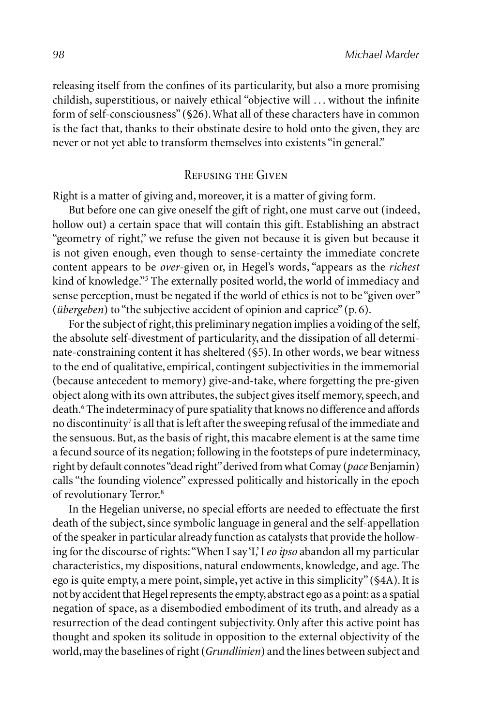releasing itself from the confines of its particularity, but also a more promising childish, superstitious, or naively ethical "objective will ... without the infinite form of self-consciousness" (§26). What all of these characters have in common is the fact that, thanks to their obstinate desire to hold onto the given, they are never or not yet able to transform themselves into existents "in general."

#### Refusing the Given

Right is a matter of giving and, moreover, it is a matter of giving form.

But before one can give oneself the gift of right, one must carve out (indeed, hollow out) a certain space that will contain this gift. Establishing an abstract "geometry of right," we refuse the given not because it is given but because it is not given enough, even though to sense-certainty the immediate concrete content appears to be *over*-given or, in Hegel's words, "appears as the *richest*  kind of knowledge."<sup>5</sup> The externally posited world, the world of immediacy and sense perception, must be negated if the world of ethics is not to be "given over" (*übergeben*) to "the subjective accident of opinion and caprice" (p. 6).

For the subject of right, this preliminary negation implies a voiding of the self, the absolute self-divestment of particularity, and the dissipation of all determinate-constraining content it has sheltered (§5). In other words, we bear witness to the end of qualitative, empirical, contingent subjectivities in the immemorial (because antecedent to memory) give-and-take, where forgetting the pre-given object along with its own attributes, the subject gives itself memory, speech, and death.<sup>6</sup> The indeterminacy of pure spatiality that knows no difference and affords no discontinuity<sup>7</sup> is all that is left after the sweeping refusal of the immediate and the sensuous. But, as the basis of right, this macabre element is at the same time a fecund source of its negation; following in the footsteps of pure indeterminacy, right by default connotes "dead right" derived from what Comay (*pace* Benjamin) calls "the founding violence" expressed politically and historically in the epoch of revolutionary Terror.8

In the Hegelian universe, no special efforts are needed to effectuate the first death of the subject, since symbolic language in general and the self-appellation of the speaker in particular already function as catalysts that provide the hollowing for the discourse of rights: "When I say 'I,' I *eo ipso* abandon all my particular characteristics, my dispositions, natural endowments, knowledge, and age. The ego is quite empty, a mere point, simple, yet active in this simplicity" (§4A). It is not by accident that Hegel represents the empty, abstract ego as a point: as a spatial negation of space, as a disembodied embodiment of its truth, and already as a resurrection of the dead contingent subjectivity. Only after this active point has thought and spoken its solitude in opposition to the external objectivity of the world, may the baselines of right (*Grundlinien*) and the lines between subject and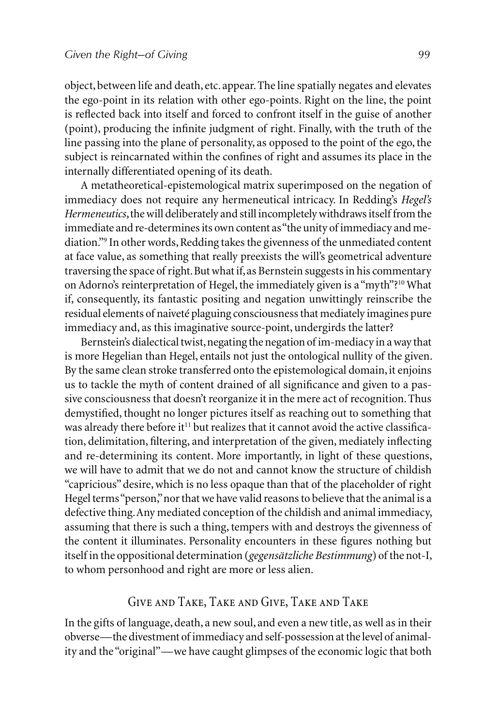object, between life and death, etc. appear. The line spatially negates and elevates the ego-point in its relation with other ego-points. Right on the line, the point is reflected back into itself and forced to confront itself in the guise of another (point), producing the infinite judgment of right. Finally, with the truth of the line passing into the plane of personality, as opposed to the point of the ego, the subject is reincarnated within the confines of right and assumes its place in the internally differentiated opening of its death.

A metatheoretical-epistemological matrix superimposed on the negation of immediacy does not require any hermeneutical intricacy. In Redding's *Hegel's Hermeneutics*, the will deliberately and still incompletely withdraws itself from the immediate and re-determines its own content as "the unity of immediacy and mediation."9 In other words, Redding takes the givenness of the unmediated content at face value, as something that really preexists the will's geometrical adventure traversing the space of right. But what if, as Bernstein suggests in his commentary on Adorno's reinterpretation of Hegel, the immediately given is a "myth"?10 What if, consequently, its fantastic positing and negation unwittingly reinscribe the residual elements of naiveté plaguing consciousness that mediately imagines pure immediacy and, as this imaginative source-point, undergirds the latter?

Bernstein's dialectical twist, negating the negation of im-mediacy in a way that is more Hegelian than Hegel, entails not just the ontological nullity of the given. By the same clean stroke transferred onto the epistemological domain, it enjoins us to tackle the myth of content drained of all significance and given to a passive consciousness that doesn't reorganize it in the mere act of recognition. Thus demystified, thought no longer pictures itself as reaching out to something that was already there before it<sup>11</sup> but realizes that it cannot avoid the active classification, delimitation, filtering, and interpretation of the given, mediately inflecting and re-determining its content. More importantly, in light of these questions, we will have to admit that we do not and cannot know the structure of childish "capricious" desire, which is no less opaque than that of the placeholder of right Hegel terms "person," nor that we have valid reasons to believe that the animal is a defective thing. Any mediated conception of the childish and animal immediacy, assuming that there is such a thing, tempers with and destroys the givenness of the content it illuminates. Personality encounters in these figures nothing but itself in the oppositional determination (*gegensätzliche Bestimmung*) of the not-I, to whom personhood and right are more or less alien.

### Give and Take, Take and Give, Take and Take

In the gifts of language, death, a new soul, and even a new title, as well as in their obverse—the divestment of immediacy and self-possession at the level of animality and the "original"—we have caught glimpses of the economic logic that both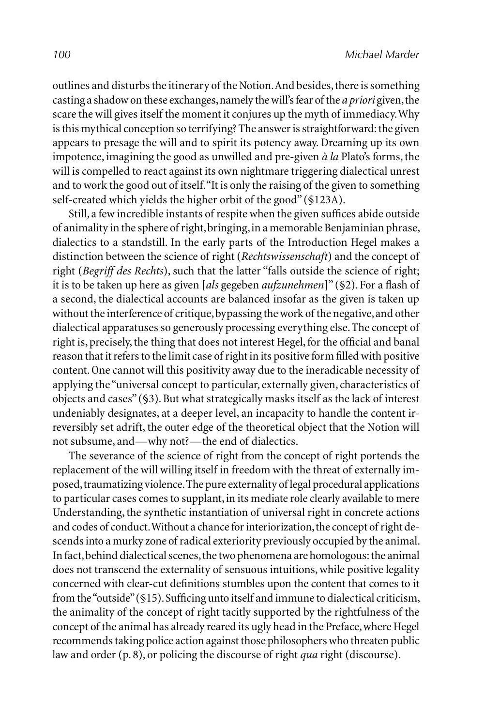outlines and disturbs the itinerary of the Notion. And besides, there is something casting a shadow on these exchanges, namely the will's fear of the *a priori* given, the scare the will gives itself the moment it conjures up the myth of immediacy. Why is this mythical conception so terrifying? The answer is straightforward: the given appears to presage the will and to spirit its potency away. Dreaming up its own impotence, imagining the good as unwilled and pre-given *à la* Plato's forms, the will is compelled to react against its own nightmare triggering dialectical unrest and to work the good out of itself. "It is only the raising of the given to something self-created which yields the higher orbit of the good" (§123A).

Still, a few incredible instants of respite when the given suffices abide outside of animality in the sphere of right, bringing, in a memorable Benjaminian phrase, dialectics to a standstill. In the early parts of the Introduction Hegel makes a distinction between the science of right (*Rechtswissenschaft*) and the concept of right (*Begriff des Rechts*), such that the latter "falls outside the science of right; it is to be taken up here as given [*als* gegeben *aufzunehmen*]" (§2). For a flash of a second, the dialectical accounts are balanced insofar as the given is taken up without the interference of critique, bypassing the work of the negative, and other dialectical apparatuses so generously processing everything else. The concept of right is, precisely, the thing that does not interest Hegel, for the official and banal reason that it refers to the limit case of right in its positive form filled with positive content. One cannot will this positivity away due to the ineradicable necessity of applying the "universal concept to particular, externally given, characteristics of objects and cases" (§3). But what strategically masks itself as the lack of interest undeniably designates, at a deeper level, an incapacity to handle the content irreversibly set adrift, the outer edge of the theoretical object that the Notion will not subsume, and—why not?—the end of dialectics.

The severance of the science of right from the concept of right portends the replacement of the will willing itself in freedom with the threat of externally imposed, traumatizing violence. The pure externality of legal procedural applications to particular cases comes to supplant, in its mediate role clearly available to mere Understanding, the synthetic instantiation of universal right in concrete actions and codes of conduct. Without a chance for interiorization, the concept of right descends into a murky zone of radical exteriority previously occupied by the animal. In fact, behind dialectical scenes, the two phenomena are homologous: the animal does not transcend the externality of sensuous intuitions, while positive legality concerned with clear-cut definitions stumbles upon the content that comes to it from the "outside" (§15). Sufficing unto itself and immune to dialectical criticism, the animality of the concept of right tacitly supported by the rightfulness of the concept of the animal has already reared its ugly head in the Preface, where Hegel recommends taking police action against those philosophers who threaten public law and order (p. 8), or policing the discourse of right *qua* right (discourse).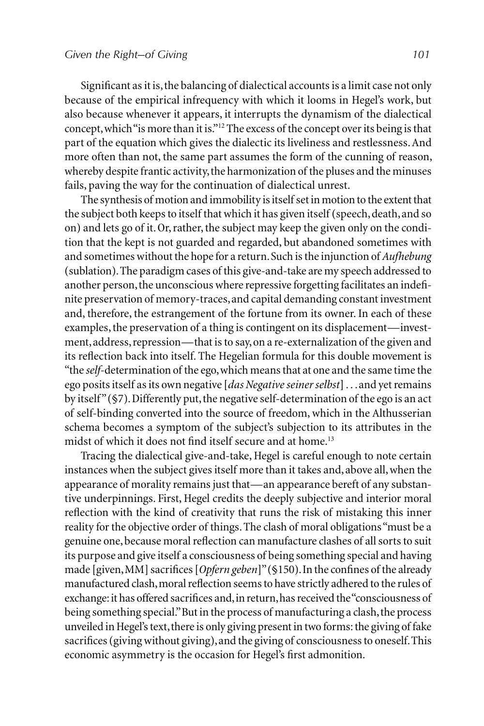Significant as it is, the balancing of dialectical accounts is a limit case not only because of the empirical infrequency with which it looms in Hegel's work, but also because whenever it appears, it interrupts the dynamism of the dialectical concept, which "is more than it is."12 The excess of the concept over its being is that part of the equation which gives the dialectic its liveliness and restlessness. And more often than not, the same part assumes the form of the cunning of reason, whereby despite frantic activity, the harmonization of the pluses and the minuses fails, paving the way for the continuation of dialectical unrest.

The synthesis of motion and immobility is itself set in motion to the extent that the subject both keeps to itself that which it has given itself (speech, death, and so on) and lets go of it. Or, rather, the subject may keep the given only on the condition that the kept is not guarded and regarded, but abandoned sometimes with and sometimes without the hope for a return. Such is the injunction of *Aufhebung*  (sublation). The paradigm cases of this give-and-take are my speech addressed to another person, the unconscious where repressive forgetting facilitates an indefi nite preservation of memory-traces, and capital demanding constant investment and, therefore, the estrangement of the fortune from its owner. In each of these examples, the preservation of a thing is contingent on its displacement—investment, address, repression—that is to say, on a re-externalization of the given and its reflection back into itself. The Hegelian formula for this double movement is "the *self*-determination of the ego, which means that at one and the same time the ego posits itself as its own negative [*das Negative seiner selbst*] . . . and yet remains by itself " (§7). Differently put, the negative self-determination of the ego is an act of self-binding converted into the source of freedom, which in the Althusserian schema becomes a symptom of the subject's subjection to its attributes in the midst of which it does not find itself secure and at home.<sup>13</sup>

Tracing the dialectical give-and-take, Hegel is careful enough to note certain instances when the subject gives itself more than it takes and, above all, when the appearance of morality remains just that—an appearance bereft of any substantive underpinnings. First, Hegel credits the deeply subjective and interior moral reflection with the kind of creativity that runs the risk of mistaking this inner reality for the objective order of things. The clash of moral obligations "must be a genuine one, because moral reflection can manufacture clashes of all sorts to suit its purpose and give itself a consciousness of being something special and having made [given, MM] sacrifices [Opfern geben]" (§150). In the confines of the already manufactured clash, moral reflection seems to have strictly adhered to the rules of exchange: it has offered sacrifices and, in return, has received the "consciousness of being something special." But in the process of manufacturing a clash, the process unveiled in Hegel's text, there is only giving present in two forms: the giving of fake sacrifices (giving without giving), and the giving of consciousness to oneself. This economic asymmetry is the occasion for Hegel's first admonition.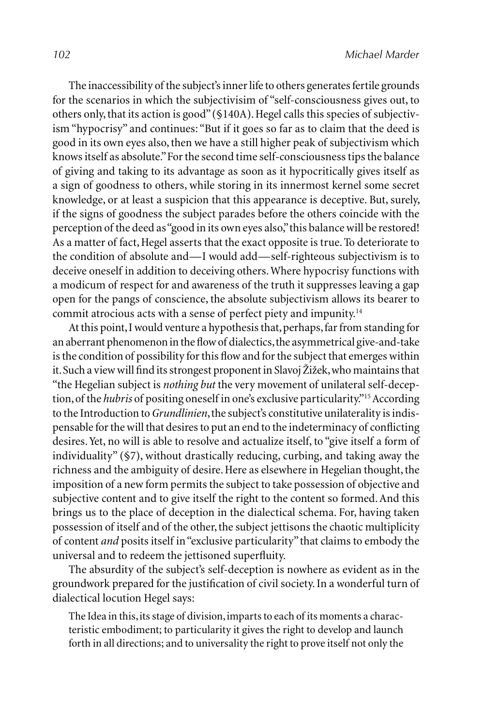The inaccessibility of the subject's inner life to others generates fertile grounds for the scenarios in which the subjectivisim of "self-consciousness gives out, to others only, that its action is good" (§140A). Hegel calls this species of subjectivism "hypocrisy" and continues: "But if it goes so far as to claim that the deed is good in its own eyes also, then we have a still higher peak of subjectivism which knows itself as absolute." For the second time self-consciousness tips the balance of giving and taking to its advantage as soon as it hypocritically gives itself as a sign of goodness to others, while storing in its innermost kernel some secret knowledge, or at least a suspicion that this appearance is deceptive. But, surely, if the signs of goodness the subject parades before the others coincide with the perception of the deed as "good in its own eyes also," this balance will be restored! As a matter of fact, Hegel asserts that the exact opposite is true. To deteriorate to the condition of absolute and—I would add—self-righteous subjectivism is to deceive oneself in addition to deceiving others. Where hypocrisy functions with a modicum of respect for and awareness of the truth it suppresses leaving a gap open for the pangs of conscience, the absolute subjectivism allows its bearer to commit atrocious acts with a sense of perfect piety and impunity.14

At this point, I would venture a hypothesis that, perhaps, far from standing for an aberrant phenomenon in the flow of dialectics, the asymmetrical give-and-take is the condition of possibility for this flow and for the subject that emerges within it. Such a view will find its strongest proponent in Slavoj Žižek, who maintains that "the Hegelian subject is *nothing but* the very movement of unilateral self-deception, of the *hubris* of positing oneself in one's exclusive particularity."15 According to the Introduction to *Grundlinien*, the subject's constitutive unilaterality is indispensable for the will that desires to put an end to the indeterminacy of conflicting desires. Yet, no will is able to resolve and actualize itself, to "give itself a form of individuality" (§7), without drastically reducing, curbing, and taking away the richness and the ambiguity of desire. Here as elsewhere in Hegelian thought, the imposition of a new form permits the subject to take possession of objective and subjective content and to give itself the right to the content so formed. And this brings us to the place of deception in the dialectical schema. For, having taken possession of itself and of the other, the subject jettisons the chaotic multiplicity of content *and* posits itself in "exclusive particularity" that claims to embody the universal and to redeem the jettisoned superfluity.

The absurdity of the subject's self-deception is nowhere as evident as in the groundwork prepared for the justification of civil society. In a wonderful turn of dialectical locution Hegel says:

The Idea in this, its stage of division, imparts to each of its moments a characteristic embodiment; to particularity it gives the right to develop and launch forth in all directions; and to universality the right to prove itself not only the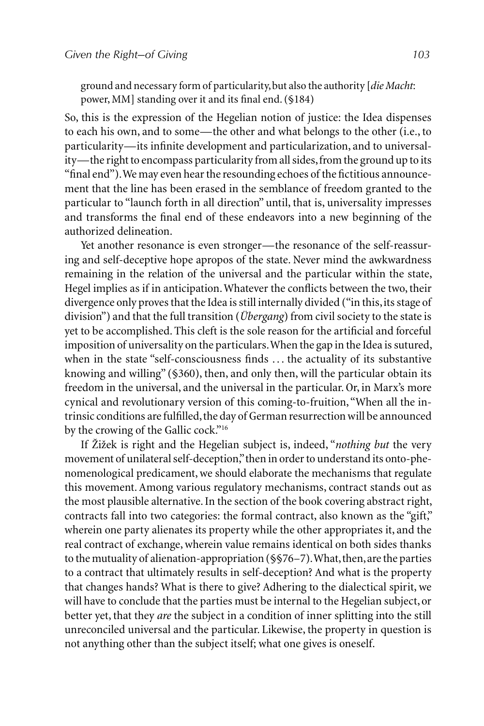ground and necessary form of particularity, but also the authority [*die Macht*: power, MM] standing over it and its final end. (§184)

So, this is the expression of the Hegelian notion of justice: the Idea dispenses to each his own, and to some—the other and what belongs to the other (i.e., to particularity—its infinite development and particularization, and to universality—the right to encompass particularity from all sides, from the ground up to its "final end"). We may even hear the resounding echoes of the fictitious announcement that the line has been erased in the semblance of freedom granted to the particular to "launch forth in all direction" until, that is, universality impresses and transforms the final end of these endeavors into a new beginning of the authorized delineation.

Yet another resonance is even stronger—the resonance of the self-reassuring and self-deceptive hope apropos of the state. Never mind the awkwardness remaining in the relation of the universal and the particular within the state, Hegel implies as if in anticipation. Whatever the conflicts between the two, their divergence only proves that the Idea is still internally divided ("in this, its stage of division") and that the full transition (*Übergang*) from civil society to the state is yet to be accomplished. This cleft is the sole reason for the artificial and forceful imposition of universality on the particulars. When the gap in the Idea is sutured, when in the state "self-consciousness finds ... the actuality of its substantive knowing and willing" (§360), then, and only then, will the particular obtain its freedom in the universal, and the universal in the particular. Or, in Marx's more cynical and revolutionary version of this coming-to-fruition, "When all the intrinsic conditions are fulfilled, the day of German resurrection will be announced by the crowing of the Gallic cock."<sup>16</sup>

If Žižek is right and the Hegelian subject is, indeed, "*nothing but* the very movement of unilateral self-deception," then in order to understand its onto-phenomenological predicament, we should elaborate the mechanisms that regulate this movement. Among various regulatory mechanisms, contract stands out as the most plausible alternative. In the section of the book covering abstract right, contracts fall into two categories: the formal contract, also known as the "gift," wherein one party alienates its property while the other appropriates it, and the real contract of exchange, wherein value remains identical on both sides thanks to the mutuality of alienation-appropriation (§§76–7). What, then, are the parties to a contract that ultimately results in self-deception? And what is the property that changes hands? What is there to give? Adhering to the dialectical spirit, we will have to conclude that the parties must be internal to the Hegelian subject, or better yet, that they *are* the subject in a condition of inner splitting into the still unreconciled universal and the particular. Likewise, the property in question is not anything other than the subject itself; what one gives is oneself.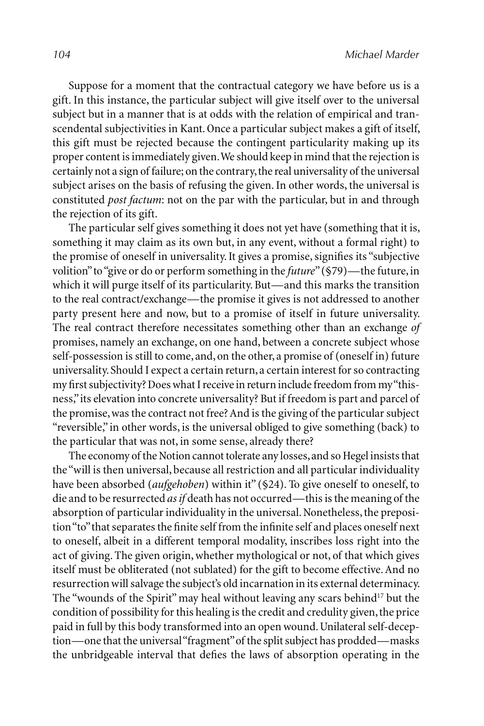Suppose for a moment that the contractual category we have before us is a gift. In this instance, the particular subject will give itself over to the universal subject but in a manner that is at odds with the relation of empirical and transcendental subjectivities in Kant. Once a particular subject makes a gift of itself, this gift must be rejected because the contingent particularity making up its proper content is immediately given. We should keep in mind that the rejection is certainly not a sign of failure; on the contrary, the real universality of the universal subject arises on the basis of refusing the given. In other words, the universal is constituted *post factum*: not on the par with the particular, but in and through the rejection of its gift.

The particular self gives something it does not yet have (something that it is, something it may claim as its own but, in any event, without a formal right) to the promise of oneself in universality. It gives a promise, signifies its "subjective volition" to "give or do or perform something in the *future*" (§79)—the future, in which it will purge itself of its particularity. But—and this marks the transition to the real contract/exchange—the promise it gives is not addressed to another party present here and now, but to a promise of itself in future universality. The real contract therefore necessitates something other than an exchange *of* promises, namely an exchange, on one hand, between a concrete subject whose self-possession is still to come, and, on the other, a promise of (oneself in) future universality. Should I expect a certain return, a certain interest for so contracting my first subjectivity? Does what I receive in return include freedom from my "thisness," its elevation into concrete universality? But if freedom is part and parcel of the promise, was the contract not free? And is the giving of the particular subject "reversible," in other words, is the universal obliged to give something (back) to the particular that was not, in some sense, already there?

The economy of the Notion cannot tolerate any losses, and so Hegel insists that the "will is then universal, because all restriction and all particular individuality have been absorbed (*aufgehoben*) within it" (§24). To give oneself to oneself, to die and to be resurrected *as if* death has not occurred—this is the meaning of the absorption of particular individuality in the universal. Nonetheless, the preposition "to" that separates the finite self from the infinite self and places oneself next to oneself, albeit in a different temporal modality, inscribes loss right into the act of giving. The given origin, whether mythological or not, of that which gives itself must be obliterated (not sublated) for the gift to become effective. And no resurrection will salvage the subject's old incarnation in its external determinacy. The "wounds of the Spirit" may heal without leaving any scars behind<sup>17</sup> but the condition of possibility for this healing is the credit and credulity given, the price paid in full by this body transformed into an open wound. Unilateral self-deception—one that the universal "fragment" of the split subject has prodded—masks the unbridgeable interval that defies the laws of absorption operating in the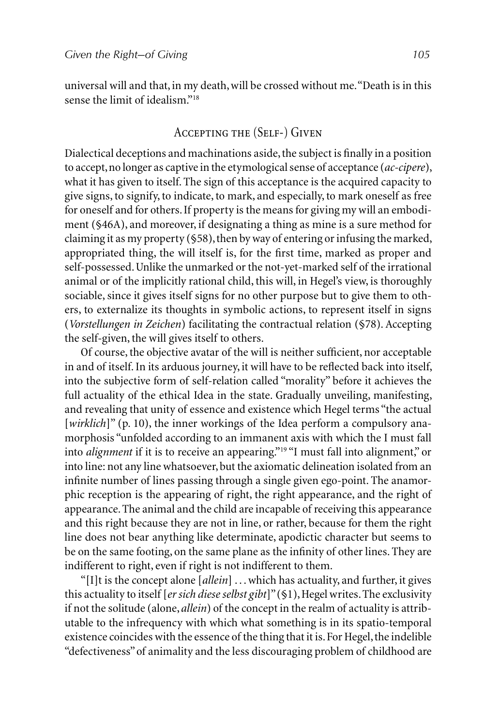universal will and that, in my death, will be crossed without me. "Death is in this sense the limit of idealism."18

## Accepting the (Self-) Given

Dialectical deceptions and machinations aside, the subject is finally in a position to accept, no longer as captive in the etymological sense of acceptance (*ac-cipere*), what it has given to itself. The sign of this acceptance is the acquired capacity to give signs, to signify, to indicate, to mark, and especially, to mark oneself as free for oneself and for others. If property is the means for giving my will an embodiment (§46A), and moreover, if designating a thing as mine is a sure method for claiming it as my property (§58), then by way of entering or infusing the marked, appropriated thing, the will itself is, for the first time, marked as proper and self-possessed. Unlike the unmarked or the not-yet-marked self of the irrational animal or of the implicitly rational child, this will, in Hegel's view, is thoroughly sociable, since it gives itself signs for no other purpose but to give them to others, to externalize its thoughts in symbolic actions, to represent itself in signs (*Vorstellungen in Zeichen*) facilitating the contractual relation (§78). Accepting the self-given, the will gives itself to others.

Of course, the objective avatar of the will is neither sufficient, nor acceptable in and of itself. In its arduous journey, it will have to be reflected back into itself, into the subjective form of self-relation called "morality" before it achieves the full actuality of the ethical Idea in the state. Gradually unveiling, manifesting, and revealing that unity of essence and existence which Hegel terms "the actual [*wirklich*]" (p. 10), the inner workings of the Idea perform a compulsory anamorphosis "unfolded according to an immanent axis with which the I must fall into *alignment* if it is to receive an appearing."<sup>19</sup> "I must fall into alignment," or into line: not any line whatsoever, but the axiomatic delineation isolated from an infinite number of lines passing through a single given ego-point. The anamorphic reception is the appearing of right, the right appearance, and the right of appearance. The animal and the child are incapable of receiving this appearance and this right because they are not in line, or rather, because for them the right line does not bear anything like determinate, apodictic character but seems to be on the same footing, on the same plane as the infinity of other lines. They are indifferent to right, even if right is not indifferent to them.

"[I]t is the concept alone [*allein*] . . . which has actuality, and further, it gives this actuality to itself [*er sich diese selbst gibt*]" (§1), Hegel writes. The exclusivity if not the solitude (alone, *allein*) of the concept in the realm of actuality is attributable to the infrequency with which what something is in its spatio-temporal existence coincides with the essence of the thing that it is. For Hegel, the indelible "defectiveness" of animality and the less discouraging problem of childhood are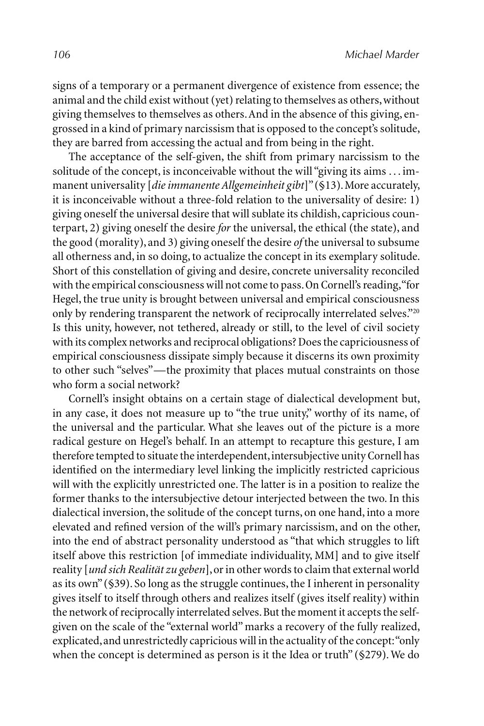signs of a temporary or a permanent divergence of existence from essence; the animal and the child exist without (yet) relating to themselves as others, without giving themselves to themselves as others. And in the absence of this giving, engrossed in a kind of primary narcissism that is opposed to the concept's solitude, they are barred from accessing the actual and from being in the right.

The acceptance of the self-given, the shift from primary narcissism to the solitude of the concept, is inconceivable without the will "giving its aims . . . immanent universality [*die immanente Allgemeinheit gibt*]" (§13). More accurately, it is inconceivable without a three-fold relation to the universality of desire: 1) giving oneself the universal desire that will sublate its childish, capricious counterpart, 2) giving oneself the desire *for* the universal, the ethical (the state), and the good (morality), and 3) giving oneself the desire *of* the universal to subsume all otherness and, in so doing, to actualize the concept in its exemplary solitude. Short of this constellation of giving and desire, concrete universality reconciled with the empirical consciousness will not come to pass. On Cornell's reading, "for Hegel, the true unity is brought between universal and empirical consciousness only by rendering transparent the network of reciprocally interrelated selves."20 Is this unity, however, not tethered, already or still, to the level of civil society with its complex networks and reciprocal obligations? Does the capriciousness of empirical consciousness dissipate simply because it discerns its own proximity to other such "selves"—the proximity that places mutual constraints on those who form a social network?

Cornell's insight obtains on a certain stage of dialectical development but, in any case, it does not measure up to "the true unity," worthy of its name, of the universal and the particular. What she leaves out of the picture is a more radical gesture on Hegel's behalf. In an attempt to recapture this gesture, I am therefore tempted to situate the interdependent, intersubjective unity Cornell has identified on the intermediary level linking the implicitly restricted capricious will with the explicitly unrestricted one. The latter is in a position to realize the former thanks to the intersubjective detour interjected between the two. In this dialectical inversion, the solitude of the concept turns, on one hand, into a more elevated and refined version of the will's primary narcissism, and on the other, into the end of abstract personality understood as "that which struggles to lift itself above this restriction [of immediate individuality, MM] and to give itself reality [*und sich Realität zu geben*], or in other words to claim that external world as its own" (§39). So long as the struggle continues, the I inherent in personality gives itself to itself through others and realizes itself (gives itself reality) within the network of reciprocally interrelated selves. But the moment it accepts the selfgiven on the scale of the "external world" marks a recovery of the fully realized, explicated, and unrestrictedly capricious will in the actuality of the concept: "only when the concept is determined as person is it the Idea or truth" (§279). We do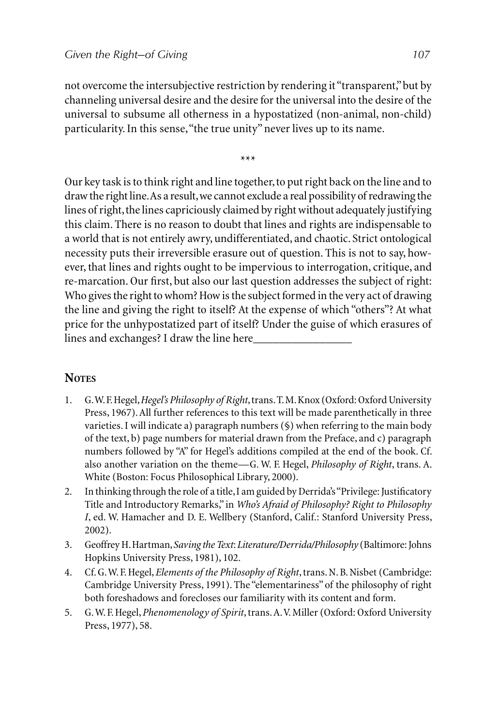not overcome the intersubjective restriction by rendering it "transparent," but by channeling universal desire and the desire for the universal into the desire of the universal to subsume all otherness in a hypostatized (non-animal, non-child) particularity. In this sense, "the true unity" never lives up to its name.

\*\*\*

Our key task is to think right and line together, to put right back on the line and to draw the right line. As a result, we cannot exclude a real possibility of redrawing the lines of right, the lines capriciously claimed by right without adequately justifying this claim. There is no reason to doubt that lines and rights are indispensable to a world that is not entirely awry, undifferentiated, and chaotic. Strict ontological necessity puts their irreversible erasure out of question. This is not to say, however, that lines and rights ought to be impervious to interrogation, critique, and re-marcation. Our first, but also our last question addresses the subject of right: Who gives the right to whom? How is the subject formed in the very act of drawing the line and giving the right to itself? At the expense of which "others"? At what price for the unhypostatized part of itself? Under the guise of which erasures of lines and exchanges? I draw the line here

## **NOTES**

- 1. G. W. F. Hegel, *Hegel's Philosophy of Right*, trans. T. M. Knox (Oxford: Oxford University Press, 1967). All further references to this text will be made parenthetically in three varieties. I will indicate a) paragraph numbers (§) when referring to the main body of the text, b) page numbers for material drawn from the Preface, and c) paragraph numbers followed by "A" for Hegel's additions compiled at the end of the book. Cf. also another variation on the theme—G. W. F. Hegel, *Philosophy of Right*, trans. A. White (Boston: Focus Philosophical Library, 2000).
- 2. In thinking through the role of a title, I am guided by Derrida's "Privilege: Justificatory Title and Introductory Remarks," in *Who's Afraid of Philosophy? Right to Philosophy I*, ed. W. Hamacher and D. E. Wellbery (Stanford, Calif.: Stanford University Press, 2002).
- 3. Geoffrey H. Hartman, *Saving the Text*: *Literature/Derrida/Philosophy* (Baltimore: Johns Hopkins University Press, 1981), 102.
- 4. Cf. G. W. F. Hegel, *Elements of the Philosophy of Right*, trans. N. B. Nisbet (Cambridge: Cambridge University Press, 1991). The "elementariness" of the philosophy of right both foreshadows and forecloses our familiarity with its content and form.
- 5. G. W. F. Hegel, *Phenomenology of Spirit*, trans. A. V. Miller (Oxford: Oxford University Press, 1977), 58.